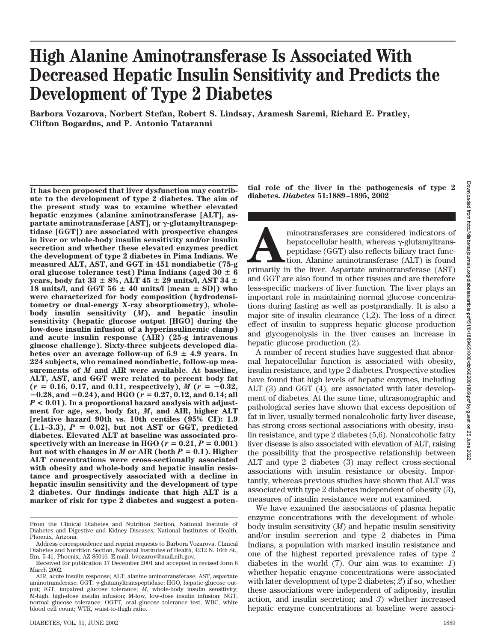# **High Alanine Aminotransferase Is Associated With Decreased Hepatic Insulin Sensitivity and Predicts the Development of Type 2 Diabetes**

**Barbora Vozarova, Norbert Stefan, Robert S. Lindsay, Aramesh Saremi, Richard E. Pratley, Clifton Bogardus, and P. Antonio Tataranni**

**It has been proposed that liver dysfunction may contribute to the development of type 2 diabetes. The aim of the present study was to examine whether elevated hepatic enzymes (alanine aminotransferase [ALT], aspartate aminotransferase [AST], or -glutamyltranspeptidase [GGT]) are associated with prospective changes in liver or whole-body insulin sensitivity and/or insulin secretion and whether these elevated enzymes predict the development of type 2 diabetes in Pima Indians. We measured ALT, AST, and GGT in 451 nondiabetic (75-g** oral glucose tolerance test) Pima Indians (aged  $30 \pm 6$ **years, body fat 33** - **8%, ALT 45** - **29 units/l, AST 34** - 18 units/l, and GGT  $56 \pm 40$  units/l [mean  $\pm$  SD]) who **were characterized for body composition (hydrodensitometry or dual-energy X-ray absorptiometry), wholebody insulin sensitivity (***M***), and hepatic insulin sensitivity (hepatic glucose output [HGO] during the low-dose insulin infusion of a hyperinsulinemic clamp) and acute insulin response (AIR) (25-g intravenous glucose challenge). Sixty-three subjects developed dia**betes over an average follow-up of  $6.9 \pm 4.9$  years. In **224 subjects, who remained nondiabetic, follow-up measurements of** *M* **and AIR were available. At baseline, ALT, AST, and GGT were related to percent body fat**  $(r = 0.16, 0.17, \text{ and } 0.11, \text{ respectively}), M (r = -0.32, \text{)}$ **0.28, and 0.24), and HGO (***r* **0.27, 0.12, and 0.14; all** *P* **< 0.01). In a proportional hazard analysis with adjustment for age, sex, body fat,** *M***, and AIR, higher ALT [relative hazard 90th vs. 10th centiles (95% CI): 1.9**  $(1.1-3.3), P = 0.02$ , but not AST or GGT, predicted **diabetes. Elevated ALT at baseline was associated prospectively with an increase in HGO (** $r = 0.21, P = 0.001$ **)** but not with changes in *M* or AIR (both  $P = 0.1$ ). Higher **ALT concentrations were cross-sectionally associated with obesity and whole-body and hepatic insulin resistance and prospectively associated with a decline in hepatic insulin sensitivity and the development of type 2 diabetes. Our findings indicate that high ALT is a marker of risk for type 2 diabetes and suggest a poten-**

**diabetes.** *Diabetes* **51:1889–1895, 2002**

 $\begin{tabular}{l} \hline \textbf{minotransferases are considered indicators of hepatocellular health, whereas $\gamma$-glutamyltranspeptidase (GGT) also reflects biliary tract function. Alanine aminotransferase (ALT) is found primarily in the liver. Aspartate aminotransferase (AST) \textbf{minotransferase} \textbf{minotransferase} \textbf{minotransferase} \textbf{minotransferase} \textbf{minotransferase} \textbf{minotransferase} \textbf{minotransferase} \textbf{minotransferase} \textbf{minotransferase} \textbf{minotransferase} \textbf{minotransferase} \textbf{minotrases} \textbf{minotrases} \textbf{minot$ hepatocellular health, whereas  $\gamma$ -glutamyltranspeptidase (GGT) also reflects biliary tract function. Alanine aminotransferase (ALT) is found and GGT are also found in other tissues and are therefore less-specific markers of liver function. The liver plays an important role in maintaining normal glucose concentrations during fasting as well as postprandially. It is also a major site of insulin clearance (1,2). The loss of a direct effect of insulin to suppress hepatic glucose production and glycogenolysis in the liver causes an increase in hepatic glucose production (2).

**tial role of the liver in the pathogenesis of type 2**

A number of recent studies have suggested that abnormal hepatocellular function is associated with obesity, insulin resistance, and type 2 diabetes. Prospective studies have found that high levels of hepatic enzymes, including ALT (3) and GGT (4), are associated with later development of diabetes. At the same time, ultrasonographic and pathological series have shown that excess deposition of fat in liver, usually termed nonalcoholic fatty liver disease, has strong cross-sectional associations with obesity, insulin resistance, and type 2 diabetes (5,6). Nonalcoholic fatty liver disease is also associated with elevation of ALT, raising the possibility that the prospective relationship between ALT and type 2 diabetes (3) may reflect cross-sectional associations with insulin resistance or obesity. Importantly, whereas previous studies have shown that ALT was associated with type 2 diabetes independent of obesity (3), measures of insulin resistance were not examined.

We have examined the associations of plasma hepatic enzyme concentrations with the development of wholebody insulin sensitivity (*M*) and hepatic insulin sensitivity and/or insulin secretion and type 2 diabetes in Pima Indians, a population with marked insulin resistance and one of the highest reported prevalence rates of type 2 diabetes in the world (7). Our aim was to examine: *1*) whether hepatic enzyme concentrations were associated with later development of type 2 diabetes; *2*) if so, whether these associations were independent of adiposity, insulin action, and insulin secretion; and *3*) whether increased hepatic enzyme concentrations at baseline were associ-

From the Clinical Diabetes and Nutrition Section, National Institute of Diabetes and Digestive and Kidney Diseases, National Institutes of Health, Phoenix, Arizona.

Address correspondence and reprint requests to Barbora Vozarova, Clinical Diabetes and Nutrition Section, National Institutes of Health, 4212 N. 16th St., Rm. 5-41, Phoenix, AZ 85016. E-mail: bvozarov@mail.nih.gov.

Received for publication 17 December 2001 and accepted in revised form 6 March 2002.

AIR, acute insulin response; ALT, alanine aminotransferase; AST, aspartate aminotransferase; GGT,  $\gamma$ -glutamyltranspeptidase; HGO, hepatic glucose output; IGT, impaired glucose tolerance; *M*, whole-body insulin sensitivity; M-high, high-dose insulin infusion; M-low, low-dose insulin infusion; NGT, normal glucose tolerance; OGTT, oral glucose tolerance test; WBC, white blood cell count; WTR, waist-to-thigh ratio.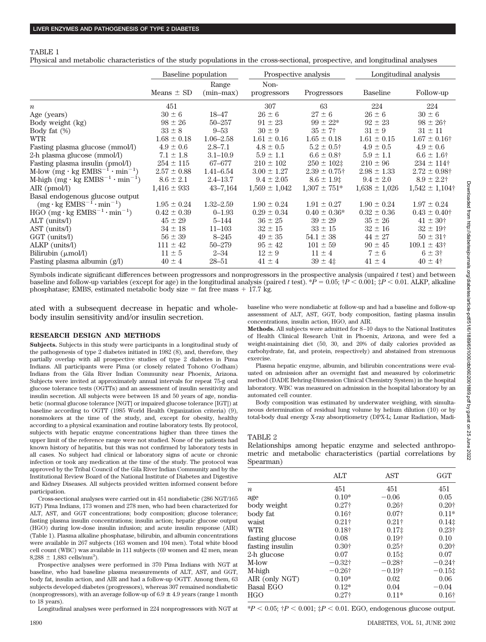### TABLE 1

Physical and metabolic characteristics of the study populations in the cross-sectional, prospective, and longitudinal analyses

|                                                         | Baseline population |                      | Prospective analysis |                   | Longitudinal analysis |                          |
|---------------------------------------------------------|---------------------|----------------------|----------------------|-------------------|-----------------------|--------------------------|
|                                                         | Means $\pm$ SD      | Range<br>$(min-max)$ | Non-<br>progressors  | Progressors       | <b>Baseline</b>       | Follow-up                |
| $\boldsymbol{n}$                                        | 451                 |                      | 307                  | 63                | 224                   | 224                      |
| Age (years)                                             | $30 \pm 6$          | 18–47                | $26 \pm 6$           | $27 \pm 6$        | $26 \pm 6$            | $30 \pm 6$               |
| Body weight (kg)                                        | $98 \pm 26$         | $50 - 257$           | $91 \pm 23$          | $99 \pm 22*$      | $92 \pm 23$           | $98 \pm 26^{\circ}$      |
| Body fat $(\%)$                                         | $33 \pm 8$          | $9 - 53$             | $30 \pm 9$           | $35 \pm 7$ †      | $31 \pm 9$            | $31 \pm 11$              |
| <b>WTR</b>                                              | $1.68 \pm 0.18$     | $1.06 - 2.58$        | $1.61 \pm 0.16$      | $1.65 \pm 0.18$   | $1.61 \pm 0.15$       | $1.67 \pm 0.16$ †        |
| Fasting plasma glucose (mmol/l)                         | $4.9 \pm 0.6$       | $2.8 - 7.1$          | $4.8 \pm 0.5$        | $5.2 \pm 0.5$ †   | $4.9 \pm 0.5$         | $4.9 \pm 0.6$            |
| 2-h plasma glucose (mmol/l)                             | $7.1 \pm 1.8$       | $3.1 - 10.9$         | $5.9 \pm 1.1$        | $6.6 \pm 0.8$ †   | $5.9 \pm 1.1$         | $6.6 \pm 1.6$ †          |
| Fasting plasma insulin (pmol/l)                         | $254 \pm 115$       | 67-677               | $210 \pm 102$        | $250 \pm 102$ :   | $210 \pm 96$          | $234 \pm 114$ †          |
| M-low $(mg \cdot kg \text{ EMBS}^{-1} \cdot min^{-1})$  | $2.57 \pm 0.88$     | $1.41 - 6.54$        | $3.00 \pm 1.27$      | $2.39 \pm 0.75$ † | $2.98 \pm 1.33$       | $2.72 \pm 0.98$ †        |
| M-high $(mg \cdot kg \text{ EMBS}^{-1} \cdot min^{-1})$ | $8.6 \pm 2.1$       | $2.4 - 13.7$         | $9.4 \pm 2.05$       | $8.6 \pm 1.9$ :   | $9.4 \pm 2.0$         | $8.9 \pm 2.2$ †          |
| $\text{AIR}$ (pmol/l)                                   | $1,416 \pm 933$     | $43 - 7,164$         | $1,569 \pm 1,042$    | $1,307 \pm 751*$  | $1,638 \pm 1,026$     | $1,542 \pm 1,104$ †      |
| Basal endogenous glucose output                         |                     |                      |                      |                   |                       |                          |
| $(mg \cdot kg \text{ EMBS}^{-1} \cdot \text{min}^{-1})$ | $1.95 \pm 0.24$     | $1.32 - 2.59$        | $1.90 \pm 0.24$      | $1.91 \pm 0.27$   | $1.90 \pm 0.24$       | $1.97 \pm 0.24$          |
| $HGO$ (mg·kg $EMBS^{-1}$ ·min <sup>-1</sup> )           | $0.42 \pm 0.39$     | $0 - 1.93$           | $0.29 \pm 0.34$      | $0.40 \pm 0.36^*$ | $0.32 \pm 0.36$       | $0.43 \pm 0.40$ †        |
| $ALT$ (units/l)                                         | $45 \pm 29$         | $5 - 144$            | $36 \pm 25$          | $39 \pm 29$       | $35 \pm 26$           | $41 \pm 30^{\circ}$      |
| $AST$ (units/l)                                         | $34 \pm 18$         | $11 - 103$           | $32 \pm 15$          | $33 \pm 15$       | $32 \pm 16$           | $32 \pm 19$ †            |
| GGT (units/I)                                           | $56 \pm 39$         | $8 - 245$            | $49 \pm 35$          | $54.1 \pm 38$     | $44 \pm 27$           | $50 \pm 31^{\circ}$      |
| ALKP (units/l)                                          | $111 \pm 42$        | 50-279               | $95 \pm 42$          | $101 \pm 59$      | $90 \pm 45$           | $109.1 \pm 43^{\dagger}$ |
| Bilirubin $(\mu \text{mol/l})$                          | $11 \pm 5$          | $2 - 34$             | $12 \pm 9$           | $11 \pm 4$        | $7 \pm 6$             | $6 \pm 3^{\circ}$        |
| Fasting plasma albumin $(g/l)$                          | $40 \pm 4$          | $28 - 51$            | $41 \pm 4$           | $39 \pm 4$ :      | $41 \pm 4$            | $40 \pm 4^{\circ}$       |

Symbols indicate significant differences between progressors and nonprogressors in the prospective analysis (unpaired *t* test) and between baseline and follow-up variables (except for age) in the longitudinal analysis (paired *t* test). \* $\overline{P} = 0.05$ ;  $\overline{P} < 0.001$ ;  $\overline{P} < 0.01$ . ALKP, alkaline phosphatase; EMBS, estimated metabolic body size  $=$  fat free mass  $+$  17.7 kg.

ated with a subsequent decrease in hepatic and wholebody insulin sensitivity and/or insulin secretion.

#### **RESEARCH DESIGN AND METHODS**

**Subjects.** Subjects in this study were participants in a longitudinal study of the pathogenesis of type 2 diabetes initiated in 1982 (8), and, therefore, they partially overlap with all prospective studies of type 2 diabetes in Pima Indians. All participants were Pima (or closely related Tohono O'odham) Indians from the Gila River Indian Community near Phoenix, Arizona. Subjects were invited at approximately annual intervals for repeat 75-g oral glucose tolerance tests (OGTTs) and an assessment of insulin sensitivity and insulin secretion. All subjects were between 18 and 50 years of age, nondiabetic (normal glucose tolerance [NGT] or impaired glucose tolerance [IGT]) at baseline according to OGTT (1985 World Health Organization criteria) (9), nonsmokers at the time of the study, and, except for obesity, healthy according to a physical examination and routine laboratory tests. By protocol, subjects with hepatic enzyme concentrations higher than three times the upper limit of the reference range were not studied. None of the patients had known history of hepatitis, but this was not confirmed by laboratory tests in all cases. No subject had clinical or laboratory signs of acute or chronic infection or took any medication at the time of the study. The protocol was approved by the Tribal Council of the Gila River Indian Community and by the Institutional Review Board of the National Institute of Diabetes and Digestive and Kidney Diseases. All subjects provided written informed consent before participation.

Cross-sectional analyses were carried out in 451 nondiabetic (286 NGT/165 IGT) Pima Indians, 173 women and 278 men, who had been characterized for ALT, AST, and GGT concentrations; body composition; glucose tolerance; fasting plasma insulin concentrations; insulin action; hepatic glucose output (HGO) during low-dose insulin infusion; and acute insulin response (AIR) (Table 1). Plasma alkaline phosphatase, bilirubin, and albumin concentrations were available in 267 subjects (163 women and 104 men). Total white blood cell count (WBC) was available in 111 subjects (69 women and 42 men, mean  $8,288 \pm 1,883$  cells/mm<sup>3</sup>).

Prospective analyses were performed in 370 Pima Indians with NGT at baseline, who had baseline plasma measurements of ALT, AST, and GGT, body fat, insulin action, and AIR and had a follow-up OGTT. Among them, 63 subjects developed diabetes (progressors), whereas 307 remained nondiabetic (nonprogressors), with an average follow-up of  $6.9 \pm 4.9$  years (range 1 month to 18 years).

Longitudinal analyses were performed in 224 nonprogressors with NGT at

baseline who were nondiabetic at follow-up and had a baseline and follow-up assessment of ALT, AST, GGT, body composition, fasting plasma insulin concentrations, insulin action, HGO, and AIR.

**Methods.** All subjects were admitted for 8–10 days to the National Institutes of Health Clinical Research Unit in Phoenix, Arizona, and were fed a weight-maintaining diet (50, 30, and 20% of daily calories provided as carbohydrate, fat, and protein, respectively) and abstained from strenuous exercise.

Plasma hepatic enzyme, albumin, and bilirubin concentrations were evaluated on admission after an overnight fast and measured by colorimetric method (DADE Behring-Dimension Clinical Chemistry System) in the hospital laboratory. WBC was measured on admission in the hospital laboratory by an automated cell counter.

Body composition was estimated by underwater weighing, with simultaneous determination of residual lung volume by helium dilution (10) or by total-body dual energy X-ray absorptiometry (DPX-L; Lunar Radiation, Madi-

#### TABLE 2

Relationships among hepatic enzyme and selected anthropometric and metabolic characteristics (partial correlations by Spearman)

|                  | <b>ALT</b>     | <b>AST</b>     | GGT            |  |
|------------------|----------------|----------------|----------------|--|
| $\boldsymbol{n}$ | 451            | 451            | 451            |  |
| age              | $0.10*$        | $-0.06$        | 0.05           |  |
| body weight      | $0.27\dagger$  | $0.26\dagger$  | $0.20\dagger$  |  |
| body fat         | $0.16\dagger$  | $0.07\dagger$  | $0.11*$        |  |
| waist            | $0.21\dagger$  | $0.21\dagger$  | 0.14           |  |
| <b>WTR</b>       | $0.18\dagger$  | $0.17$ ‡       | $0.23\dagger$  |  |
| fasting glucose  | 0.08           | $0.19\dagger$  | 0.10           |  |
| fasting insulin  | $0.30\dagger$  | $0.25\dagger$  | $0.20\dagger$  |  |
| 2-h glucose      | 0.07           | $0.15$ ‡       | 0.07           |  |
| M-low            | $-0.32$ †      | $-0.28\dagger$ | $-0.24\dagger$ |  |
| M-high           | $-0.26\dagger$ | $-0.19\dagger$ | $-0.15$ ‡      |  |
| AIR (only NGT)   | $0.10*$        | 0.02           | 0.06           |  |
| <b>Basal EGO</b> | $0.12*$        | 0.04           | $-0.04$        |  |
| <b>HGO</b>       | $0.27\dagger$  | $0.11*$        | $0.16\dagger$  |  |

 $*P < 0.05$ ;  $\frac{1}{7}P < 0.001$ ;  $\frac{1}{7}P < 0.01$ . EGO, endogenous glucose output.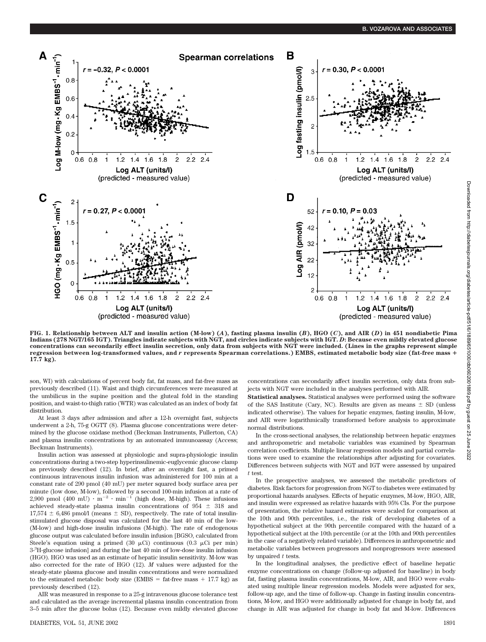

**FIG. 1. Relationship between ALT and insulin action (M-low) (***A***), fasting plasma insulin (***B***), HGO (***C***), and AIR (***D***) in 451 nondiabetic Pima Indians (278 NGT/165 IGT). Triangles indicate subjects with NGT, and circles indicate subjects with IGT.** *D***: Because even mildly elevated glucose concentrations can secondarily effect insulin secretion, only data from subjects with NGT were included. (Lines in the graphs represent simple regression between log-transformed values, and** *r* **represents Spearman correlations.) EMBS, estimated metabolic body size (fat-free mass 17.7 kg).**

son, WI) with calculations of percent body fat, fat mass, and fat-free mass as previously described (11). Waist and thigh circumferences were measured at the umbilicus in the supine position and the gluteal fold in the standing position, and waist-to-thigh ratio (WTR) was calculated as an index of body fat distribution.

At least 3 days after admission and after a 12-h overnight fast, subjects underwent a 2-h, 75-g OGTT (8). Plasma glucose concentrations were determined by the glucose oxidase method (Beckman Instruments, Fullerton, CA) and plasma insulin concentrations by an automated immunoassay (Access; Beckman Instruments).

Insulin action was assessed at physiologic and supra-physiologic insulin concentrations during a two-step hyperinsulinemic-euglycemic glucose clamp as previously described (12). In brief, after an overnight fast, a primed continuous intravenous insulin infusion was administered for 100 min at a constant rate of 290 pmol (40 mU) per meter squared body surface area per minute (low dose, M-low), followed by a second 100-min infusion at a rate of 2,900 pmol (400 mU)  $\cdot$  m<sup>-2</sup>  $\cdot$  min<sup>-1</sup> (high dose, M-high). These infusions achieved steady-state plasma insulin concentrations of  $954 \pm 318$  and  $17,574 \pm 6,486$  pmol/l (means  $\pm$  SD), respectively. The rate of total insulinstimulated glucose disposal was calculated for the last 40 min of the low- (M-low) and high-dose insulin infusions (M-high). The rate of endogenous glucose output was calculated before insulin infusion [BGSO, calculated from Steele's equation using a primed (30  $\mu$ Ci) continuous (0.3  $\mu$ Ci per min) 3-3 H-glucose infusion] and during the last 40 min of low-dose insulin infusion (HGO). HGO was used as an estimate of hepatic insulin sensitivity. M-low was also corrected for the rate of HGO (12). *M* values were adjusted for the steady-state plasma glucose and insulin concentrations and were normalized to the estimated metabolic body size (EMBS = fat-free mass  $+17.7$  kg) as previously described (12).

AIR was measured in response to a 25-g intravenous glucose tolerance test and calculated as the average incremental plasma insulin concentration from 3–5 min after the glucose bolus (12). Because even mildly elevated glucose

DIABETES, VOL. 51, JUNE 2002 1891

concentrations can secondarily affect insulin secretion, only data from subjects with NGT were included in the analyses performed with AIR.

**Statistical analyses.** Statistical analyses were performed using the software of the SAS Institute (Cary, NC). Results are given as means  $\pm$  SD (unless indicated otherwise). The values for hepatic enzymes, fasting insulin, M-low, and AIR were logarithmically transformed before analysis to approximate normal distributions.

In the cross-sectional analyses, the relationship between hepatic enzymes and anthropometric and metabolic variables was examined by Spearman correlation coefficients. Multiple linear regression models and partial correlations were used to examine the relationships after adjusting for covariates. Differences between subjects with NGT and IGT were assessed by unpaired *t* test.

In the prospective analyses, we assessed the metabolic predictors of diabetes. Risk factors for progression from NGT to diabetes were estimated by proportional hazards analyses. Effects of hepatic enzymes, M-low, HGO, AIR, and insulin were expressed as relative hazards with 95% CIs. For the purpose of presentation, the relative hazard estimates were scaled for comparison at the 10th and 90th percentiles, i.e., the risk of developing diabetes of a hypothetical subject at the 90th percentile compared with the hazard of a hypothetical subject at the 10th percentile (or at the 10th and 90th percentiles in the case of a negatively related variable). Differences in anthropometric and metabolic variables between progressors and nonprogressors were assessed by unpaired *t* tests.

In the longitudinal analyses, the predictive effect of baseline hepatic enzyme concentrations on change (follow-up adjusted for baseline) in body fat, fasting plasma insulin concentrations, M-low, AIR, and HGO were evaluated using multiple linear regression models. Models were adjusted for sex, follow-up age, and the time of follow-up. Change in fasting insulin concentrations, M-low, and HGO were additionally adjusted for change in body fat, and change in AIR was adjusted for change in body fat and M-low. Differences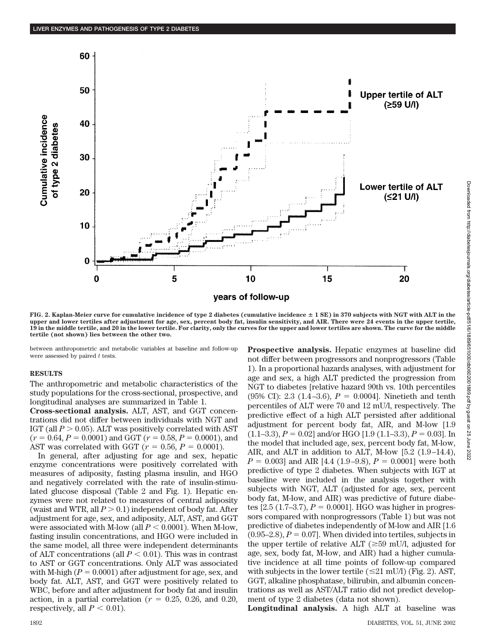

FIG. 2. Kaplan-Meier curve for cumulative incidence of type 2 diabetes (cumulative incidence  $\pm$  1 SE) in 370 subjects with NGT with ALT in the **upper and lower tertiles after adjustment for age, sex, percent body fat, insulin sensitivity, and AIR. There were 24 events in the upper tertile, 19 in the middle tertile, and 20 in the lower tertile. For clarity, only the curves for the upper and lower tertiles are shown. The curve for the middle tertile (not shown) lies between the other two.**

between anthropometric and metabolic variables at baseline and follow-up were assessed by paired *t* tests.

### **RESULTS**

The anthropometric and metabolic characteristics of the study populations for the cross-sectional, prospective, and longitudinal analyses are summarized in Table 1.

**Cross-sectional analysis.** ALT, AST, and GGT concentrations did not differ between individuals with NGT and IGT (all  $P > 0.05$ ). ALT was positively correlated with AST  $(r = 0.64, P = 0.0001)$  and GGT  $(r = 0.58, P = 0.0001)$ , and AST was correlated with GGT ( $r = 0.56, P = 0.0001$ ).

In general, after adjusting for age and sex, hepatic enzyme concentrations were positively correlated with measures of adiposity, fasting plasma insulin, and HGO and negatively correlated with the rate of insulin-stimulated glucose disposal (Table 2 and Fig. 1). Hepatic enzymes were not related to measures of central adiposity (waist and WTR, all  $P > 0.1$ ) independent of body fat. After adjustment for age, sex, and adiposity, ALT, AST, and GGT were associated with M-low (all  $P < 0.0001$ ). When M-low, fasting insulin concentrations, and HGO were included in the same model, all three were independent determinants of ALT concentrations (all  $P < 0.01$ ). This was in contrast to AST or GGT concentrations. Only ALT was associated with M-high  $(P = 0.0001)$  after adjustment for age, sex, and body fat. ALT, AST, and GGT were positively related to WBC, before and after adjustment for body fat and insulin action, in a partial correlation ( $r = 0.25, 0.26,$  and 0.20, respectively, all  $P < 0.01$ ).

**Prospective analysis.** Hepatic enzymes at baseline did not differ between progressors and nonprogressors (Table 1). In a proportional hazards analyses, with adjustment for age and sex, a high ALT predicted the progression from NGT to diabetes [relative hazard 90th vs. 10th percentiles (95% CI): 2.3 (1.4–3.6),  $P = 0.0004$ . Ninetieth and tenth percentiles of ALT were 70 and 12 mU/l, respectively. The predictive effect of a high ALT persisted after additional adjustment for percent body fat, AIR, and M-low [1.9  $(1.1–3.3), P = 0.02$ ] and/or HGO [1.9 (1.1–3.3),  $P = 0.03$ ]. In the model that included age, sex, percent body fat, M-low, AIR, and ALT in addition to ALT, M-low [5.2 (1.9–14.4),  $P = 0.003$  and AIR [4.4 (1.9–9.8),  $P = 0.0001$ ] were both predictive of type 2 diabetes. When subjects with IGT at baseline were included in the analysis together with subjects with NGT, ALT (adjusted for age, sex, percent body fat, M-low, and AIR) was predictive of future diabetes  $[2.5 (1.7–3.7), P = 0.0001]$ . HGO was higher in progressors compared with nonprogressors (Table 1) but was not predictive of diabetes independently of M-low and AIR [1.6  $(0.95-2.8), P = 0.07$ . When divided into tertiles, subjects in the upper tertile of relative ALT ( $\geq$ 59 mU/l, adjusted for age, sex, body fat, M-low, and AIR) had a higher cumulative incidence at all time points of follow-up compared with subjects in the lower tertile  $(\leq 21 \text{ mU/l})$  (Fig. 2). AST, GGT, alkaline phosphatase, bilirubin, and albumin concentrations as well as AST/ALT ratio did not predict development of type 2 diabetes (data not shown).

**Longitudinal analysis.** A high ALT at baseline was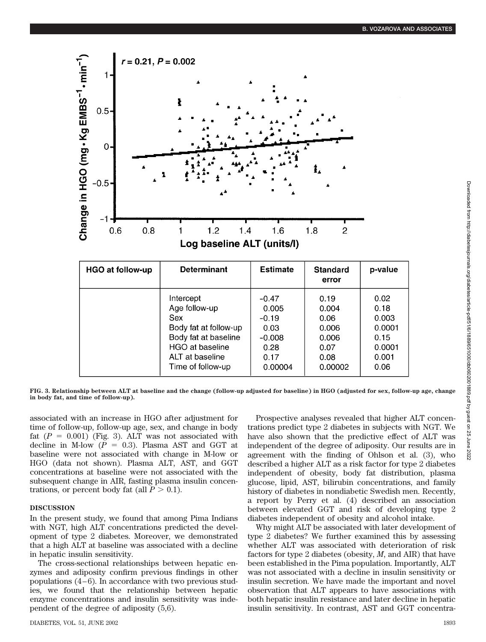

| HGO at follow-up | <b>Determinant</b>    | <b>Estimate</b> | <b>Standard</b><br>error | p-value |
|------------------|-----------------------|-----------------|--------------------------|---------|
|                  | Intercept             | $-0.47$         | 0.19                     | 0.02    |
|                  | Age follow-up         | 0.005           | 0.004                    | 0.18    |
|                  | <b>Sex</b>            | $-0.19$         | 0.06                     | 0.003   |
|                  | Body fat at follow-up | 0.03            | 0.006                    | 0.0001  |
|                  | Body fat at baseline  | $-0.008$        | 0.006                    | 0.15    |
|                  | HGO at baseline       | 0.28            | 0.07                     | 0.0001  |
|                  | ALT at baseline       | 0.17            | 0.08                     | 0.001   |
|                  | Time of follow-up     | 0.00004         | 0.00002                  | 0.06    |

**FIG. 3. Relationship between ALT at baseline and the change (follow-up adjusted for baseline) in HGO (adjusted for sex, follow-up age, change in body fat, and time of follow-up).**

associated with an increase in HGO after adjustment for time of follow-up, follow-up age, sex, and change in body fat  $(P = 0.001)$  (Fig. 3). ALT was not associated with decline in M-low  $(P = 0.3)$ . Plasma AST and GGT at baseline were not associated with change in M-low or HGO (data not shown). Plasma ALT, AST, and GGT concentrations at baseline were not associated with the subsequent change in AIR, fasting plasma insulin concentrations, or percent body fat (all  $P > 0.1$ ).

## **DISCUSSION**

In the present study, we found that among Pima Indians with NGT, high ALT concentrations predicted the development of type 2 diabetes. Moreover, we demonstrated that a high ALT at baseline was associated with a decline in hepatic insulin sensitivity.

The cross-sectional relationships between hepatic enzymes and adiposity confirm previous findings in other populations (4–6). In accordance with two previous studies, we found that the relationship between hepatic enzyme concentrations and insulin sensitivity was independent of the degree of adiposity (5,6).

Prospective analyses revealed that higher ALT concentrations predict type 2 diabetes in subjects with NGT. We have also shown that the predictive effect of ALT was independent of the degree of adiposity. Our results are in agreement with the finding of Ohlson et al. (3), who described a higher ALT as a risk factor for type 2 diabetes independent of obesity, body fat distribution, plasma glucose, lipid, AST, bilirubin concentrations, and family history of diabetes in nondiabetic Swedish men. Recently, a report by Perry et al. (4) described an association between elevated GGT and risk of developing type 2 diabetes independent of obesity and alcohol intake.

Why might ALT be associated with later development of type 2 diabetes? We further examined this by assessing whether ALT was associated with deterioration of risk factors for type 2 diabetes (obesity, *M*, and AIR) that have been established in the Pima population. Importantly, ALT was not associated with a decline in insulin sensitivity or insulin secretion. We have made the important and novel observation that ALT appears to have associations with both hepatic insulin resistance and later decline in hepatic insulin sensitivity. In contrast, AST and GGT concentra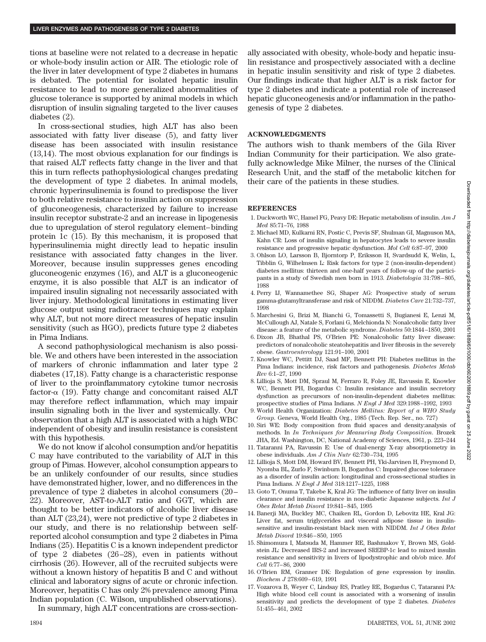tions at baseline were not related to a decrease in hepatic or whole-body insulin action or AIR. The etiologic role of the liver in later development of type 2 diabetes in humans is debated. The potential for isolated hepatic insulin resistance to lead to more generalized abnormalities of glucose tolerance is supported by animal models in which disruption of insulin signaling targeted to the liver causes diabetes (2).

In cross-sectional studies, high ALT has also been associated with fatty liver disease (5), and fatty liver disease has been associated with insulin resistance (13,14). The most obvious explanation for our findings is that raised ALT reflects fatty change in the liver and that this in turn reflects pathophysiological changes predating the development of type 2 diabetes. In animal models, chronic hyperinsulinemia is found to predispose the liver to both relative resistance to insulin action on suppression of gluconeogenesis, characterized by failure to increase insulin receptor substrate-2 and an increase in lipogenesis due to upregulation of sterol regulatory element–binding protein 1c (15). By this mechanism, it is proposed that hyperinsulinemia might directly lead to hepatic insulin resistance with associated fatty changes in the liver. Moreover, because insulin suppresses genes encoding gluconeogenic enzymes (16), and ALT is a gluconeogenic enzyme, it is also possible that ALT is an indicator of impaired insulin signaling not necessarily associated with liver injury. Methodological limitations in estimating liver glucose output using radiotracer techniques may explain why ALT, but not more direct measures of hepatic insulin sensitivity (such as HGO), predicts future type 2 diabetes in Pima Indians.

A second pathophysiological mechanism is also possible. We and others have been interested in the association of markers of chronic inflammation and later type 2 diabetes (17,18). Fatty change is a characteristic response of liver to the proinflammatory cytokine tumor necrosis factor- $\alpha$  (19). Fatty change and concomitant raised ALT may therefore reflect inflammation, which may impair insulin signaling both in the liver and systemically. Our observation that a high ALT is associated with a high WBC independent of obesity and insulin resistance is consistent with this hypothesis.

We do not know if alcohol consumption and/or hepatitis C may have contributed to the variability of ALT in this group of Pimas. However, alcohol consumption appears to be an unlikely confounder of our results, since studies have demonstrated higher, lower, and no differences in the prevalence of type 2 diabetes in alcohol consumers (20– 22). Moreover, AST-to-ALT ratio and GGT, which are thought to be better indicators of alcoholic liver disease than ALT (23,24), were not predictive of type 2 diabetes in our study, and there is no relationship between selfreported alcohol consumption and type 2 diabetes in Pima Indians (25). Hepatitis C is a known independent predictor of type 2 diabetes (26–28), even in patients without cirrhosis (26). However, all of the recruited subjects were without a known history of hepatitis B and C and without clinical and laboratory signs of acute or chronic infection. Moreover, hepatitis C has only 2% prevalence among Pima Indian population (C. Wilson, unpublished observations).

In summary, high ALT concentrations are cross-section-

ally associated with obesity, whole-body and hepatic insulin resistance and prospectively associated with a decline in hepatic insulin sensitivity and risk of type 2 diabetes. Our findings indicate that higher ALT is a risk factor for type 2 diabetes and indicate a potential role of increased hepatic gluconeogenesis and/or inflammation in the pathogenesis of type 2 diabetes.

# **ACKNOWLEDGMENTS**

The authors wish to thank members of the Gila River Indian Community for their participation. We also gratefully acknowledge Mike Milner, the nurses of the Clinical Research Unit, and the staff of the metabolic kitchen for their care of the patients in these studies.

### **REFERENCES**

- 1. Duckworth WC, Hamel FG, Peavy DE: Hepatic metabolism of insulin. *Am J Med* 85:71–76, 1988
- 2. Michael MD, Kulkarni RN, Postic C, Previs SF, Shulman GI, Magnuson MA, Kahn CR: Loss of insulin signaling in hepatocytes leads to severe insulin resistance and progressive hepatic dysfunction. *Mol Cell* 6:87–97, 2000
- 3. Ohlson LO, Larsson B, Bjorntorp P, Eriksson H, Svardsudd K, Welin, L, Tibblin G, Wilhelmsen L: Risk factors for type 2 (non-insulin-dependent) diabetes mellitus: thirteen and one-half years of follow-up of the participants in a study of Swedish men born in 1913. *Diabetologia* 31:798–805, 1988
- 4. Perry IJ, Wannamethee SG, Shaper AG: Prospective study of serum gamma-glutamyltransferase and risk of NIDDM. *Diabetes Care* 21:732–737, 1998
- 5. Marchesini G, Brizi M, Bianchi G, Tomassetti S, Bugianesi E, Lenzi M, McCullough AJ, Natale S, Forlani G, Melchionda N: Nonalcoholic fatty liver disease: a feature of the metabolic syndrome. *Diabetes* 50:1844–1850, 2001
- 6. Dixon JB, Bhathal PS, O'Brien PE: Nonalcoholic fatty liver disease: predictors of nonalcoholic steatohepatitis and liver fibrosis in the severely obese. *Gastroenterology* 121:91–100, 2001
- 7. Knowler WC, Pettitt DJ, Saad MF, Bennett PH: Diabetes mellitus in the Pima Indians: incidence, risk factors and pathogenesis. *Diabetes Metab Rev* 6:1–27, 1990
- 8. Lillioja S, Mott DM, Spraul M, Ferraro R, Foley JE, Ravussin E, Knowler WC, Bennett PH, Bogardus C: Insulin resistance and insulin secretory dysfunction as precursors of non-insulin-dependent diabetes mellitus: prospective studies of Pima Indians. *N Engl J Med* 329:1988–1992, 1993
- 9. World Health Organization: *Diabetes Mellitus: Report of a WHO Study Group*. Geneva, World Health Org., 1985 (Tech. Rep. Ser., no. 727)
- 10. Siri WE: Body composition from fluid spaces and density:analysis of methods. In *In Techniques for Measuring Body Composition*. Brozek JHA, Ed. Washington, DC, National Academy of Sciences, 1961, p. 223–244
- 11. Tataranni PA, Ravussin E: Use of dual-energy X-ray absorptiometry in obese individuals. *Am J Clin Nutr* 62:730–734, 1995
- 12. Lillioja S, Mott DM, Howard BV, Bennett PH, Yki-Jarvinen H, Freymond D, Nyomba BL, Zurlo F, Swinburn B, Bogardus C: Impaired glucose tolerance as a disorder of insulin action: longitudinal and cross-sectional studies in Pima Indians. *N Engl J Med* 318:1217–1225, 1988
- 13. Goto T, Onuma T, Takebe K, Kral JG: The influence of fatty liver on insulin clearance and insulin resistance in non-diabetic Japanese subjects. *Int J Obes Relat Metab Disord* 19:841–845, 1995
- 14. Banerji MA, Buckley MC, Chaiken RL, Gordon D, Lebovitz HE, Kral JG: Liver fat, serum triglycerides and visceral adipose tissue in insulinsensitive and insulin-resistant black men with NIDDM. *Int J Obes Relat Metab Disord* 19:846–850, 1995
- 15. Shimomura I, Matsuda M, Hammer RE, Bashmakov Y, Brown MS, Goldstein JL: Decreased IRS-2 and increased SREBP-1c lead to mixed insulin resistance and sensitivity in livers of lipodystrophic and ob/ob mice. *Mol Cell* 6:77–86, 2000
- 16. O'Brien RM, Granner DK: Regulation of gene expression by insulin. *Biochem J* 278:609–619, 1991
- 17. Vozarova B, Weyer C, Lindsay RS, Pratley RE, Bogardus C, Tataranni PA: High white blood cell count is associated with a worsening of insulin sensitivity and predicts the development of type 2 diabetes. *Diabetes* 51:455–461, 2002